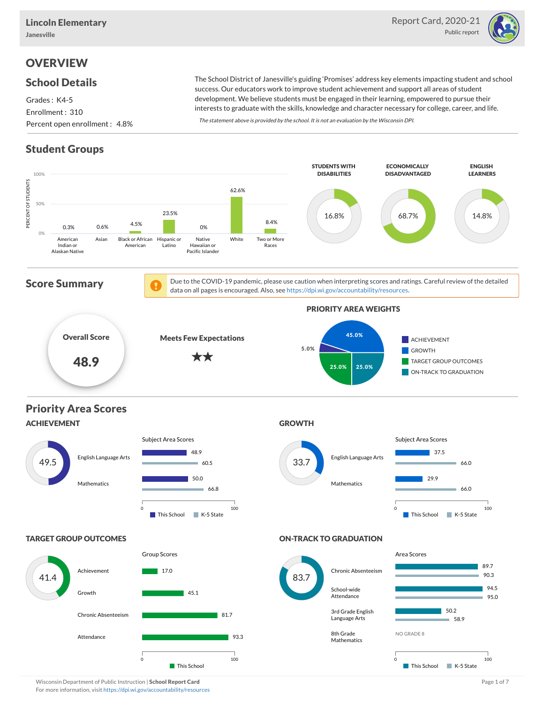

# **OVERVIEW**

#### School Details

Grades : K4-5 Enrollment : 310 Percent open enrollment : 4.8%

The School District of Janesville's guiding 'Promises' address key elements impacting student and school success. Our educators work to improve student achievement and support all areas of student development. We believe students must be engaged in their learning, empowered to pursue their interests to graduate with the skills, knowledge and character necessary for college, career, and life.

The statement above is provided by the school. It is not an evaluation by the Wisconsin DPI.

# Student Groups



Wisconsin Department of Public Instruction | School Report Card Page 1 of 7 and 2008 and 2008 and Page 1 of 7 For more information, visit <https://dpi.wi.gov/accountability/resources>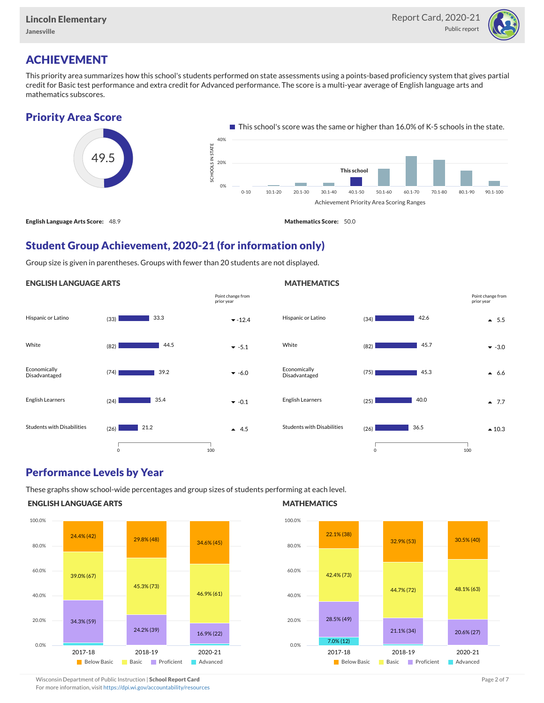

# ACHIEVEMENT

This priority area summarizes how this school's students performed on state assessments using a points-based proficiency system that gives partial credit for Basic test performance and extra credit for Advanced performance. The score is a multi-year average of English language arts and mathematics subscores.

## Priority Area Score



## Student Group Achievement, 2020-21 (for information only)

Group size is given in parentheses. Groups with fewer than 20 students are not displayed.

#### ENGLISH LANGUAGE ARTS





## Performance Levels by Year

These graphs show school-wide percentages and group sizes of students performing at each level.

#### ENGLISH LANGUAGE ARTS



#### **MATHEMATICS**

**MATHEMATICS** 



Wisconsin Department of Public Instruction | School Report Card Page 2 of 7 and 2008 and 2009 and 2 of 7 and 2 of 7 For more information, visit <https://dpi.wi.gov/accountability/resources>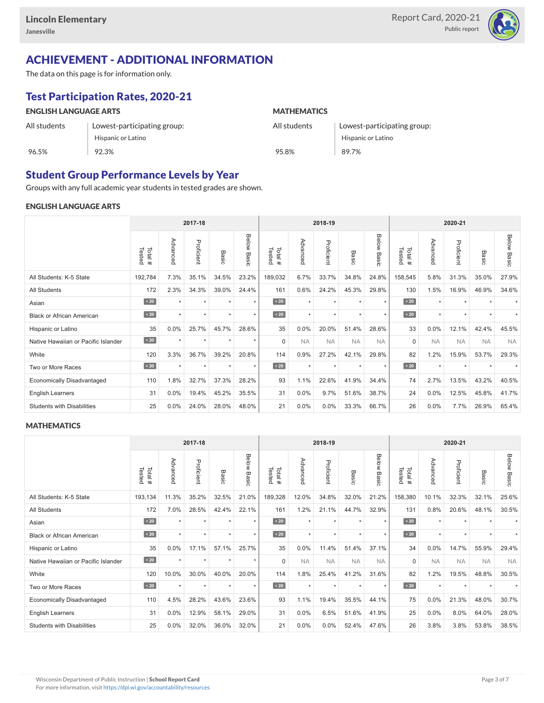

# ACHIEVEMENT - ADDITIONAL INFORMATION

The data on this page is for information only.

# Test Participation Rates, 2020-21

| <b>ENGLISH LANGUAGE ARTS</b> |                             | <b>MATHEMATICS</b> |                             |  |  |  |  |  |
|------------------------------|-----------------------------|--------------------|-----------------------------|--|--|--|--|--|
| All students                 | Lowest-participating group: | All students       | Lowest-participating group: |  |  |  |  |  |
|                              | Hispanic or Latino          |                    | Hispanic or Latino          |  |  |  |  |  |
| 96.5%                        | 92.3%                       | 95.8%              | 89.7%                       |  |  |  |  |  |

## Student Group Performance Levels by Year

Groups with any full academic year students in tested grades are shown.

#### ENGLISH LANGUAGE ARTS

|                                     |                  |           | 2017-18    |         |                | 2018-19<br>2020-21 |           |            |                      |                |                  |           |            |           |                    |
|-------------------------------------|------------------|-----------|------------|---------|----------------|--------------------|-----------|------------|----------------------|----------------|------------------|-----------|------------|-----------|--------------------|
|                                     | Tested<br>Total# | Advanced  | Proficient | Basic   | Below<br>Basic | Tested<br>Total#   | Advanced  | Proficient | Basic                | Below<br>Basic | Tested<br>Total# | Advanced  | Proficient | Basic     | <b>Below Basic</b> |
| All Students: K-5 State             | 192,784          | 7.3%      | 35.1%      | 34.5%   | 23.2%          | 189,032            | 6.7%      | 33.7%      | 34.8%                | 24.8%          | 158,545          | 5.8%      | 31.3%      | 35.0%     | 27.9%              |
| <b>All Students</b>                 | 172              | 2.3%      | 34.3%      | 39.0%   | 24.4%          | 161                | 0.6%      | 24.2%      | 45.3%                | 29.8%          | 130              | 1.5%      | 16.9%      | 46.9%     | 34.6%              |
| Asian                               | $\overline{20}$  | $\ddot{}$ | $\star$    | ٠       | $\star$        | $\angle 20$        | $\star$   | $\star$    | $\ddot{\phantom{1}}$ | $\star$        | $\angle 20$      | $\star$   | $\star$    |           |                    |
| <b>Black or African American</b>    | $\sim 20$        | $\ddot{}$ | $\star$    | $\star$ | $\star$        | $\angle 20$        | $\star$   | $\star$    | $\ddot{}$            | $\star$        | $\angle 20$      | $\star$   | $\star$    |           |                    |
| Hispanic or Latino                  | 35               | 0.0%      | 25.7%      | 45.7%   | 28.6%          | 35                 | 0.0%      | 20.0%      | 51.4%                | 28.6%          | 33               | 0.0%      | 12.1%      | 42.4%     | 45.5%              |
| Native Hawaiian or Pacific Islander | $\angle 20$      | $\star$   | $\star$    | $\star$ | $\star$        | $\mathbf 0$        | <b>NA</b> | <b>NA</b>  | <b>NA</b>            | <b>NA</b>      | $\mathbf 0$      | <b>NA</b> | <b>NA</b>  | <b>NA</b> | <b>NA</b>          |
| White                               | 120              | 3.3%      | 36.7%      | 39.2%   | 20.8%          | 114                | 0.9%      | 27.2%      | 42.1%                | 29.8%          | 82               | 1.2%      | 15.9%      | 53.7%     | 29.3%              |
| Two or More Races                   | $\sim 20$        |           | $\star$    | $\star$ | $\star$        | $\sim 20$          | $\star$   | $\star$    |                      | $\star$        | $\sim 20$        | $\star$   | $\star$    |           |                    |
| <b>Economically Disadvantaged</b>   | 110              | 1.8%      | 32.7%      | 37.3%   | 28.2%          | 93                 | 1.1%      | 22.6%      | 41.9%                | 34.4%          | 74               | 2.7%      | 13.5%      | 43.2%     | 40.5%              |
| English Learners                    | 31               | 0.0%      | 19.4%      | 45.2%   | 35.5%          | 31                 | 0.0%      | 9.7%       | 51.6%                | 38.7%          | 24               | 0.0%      | 12.5%      | 45.8%     | 41.7%              |
| <b>Students with Disabilities</b>   | 25               | 0.0%      | 24.0%      | 28.0%   | 48.0%          | 21                 | 0.0%      | $0.0\%$    | 33.3%                | 66.7%          | 26               | $0.0\%$   | 7.7%       | 26.9%     | 65.4%              |

#### **MATHEMATICS**

|                                     |                  |           | 2017-18    |         |                | 2018-19<br>2020-21 |           |            |                      |                |                  |           |            |           |                    |
|-------------------------------------|------------------|-----------|------------|---------|----------------|--------------------|-----------|------------|----------------------|----------------|------------------|-----------|------------|-----------|--------------------|
|                                     | Tested<br>Total# | Advanced  | Proficient | Basic   | Below<br>Basic | Tested<br>Total#   | Advanced  | Proficient | Basic                | Below<br>Basic | Tested<br>Total# | Advanced  | Proficient | Basic     | <b>Below Basic</b> |
| All Students: K-5 State             | 193,134          | 11.3%     | 35.2%      | 32.5%   | 21.0%          | 189,328            | 12.0%     | 34.8%      | 32.0%                | 21.2%          | 158,380          | 10.1%     | 32.3%      | 32.1%     | 25.6%              |
| <b>All Students</b>                 | 172              | 7.0%      | 28.5%      | 42.4%   | 22.1%          | 161                | 1.2%      | 21.1%      | 44.7%                | 32.9%          | 131              | 0.8%      | 20.6%      | 48.1%     | 30.5%              |
| Asian                               | $\sim 20$        | $\ddot{}$ | $\star$    | ٠       | $\star$        | $\angle 20$        | $\star$   | $\star$    | $\ddot{}$            | $\star$        | $\angle 20$      | $\star$   | $\star$    |           |                    |
| <b>Black or African American</b>    | $\sim 20$        |           | $\star$    | $\star$ | $\star$        | $\sim 20$          | $\star$   | $\star$    |                      | $\star$        | $\angle 20$      | $\star$   | $\star$    |           |                    |
| Hispanic or Latino                  | 35               | 0.0%      | 17.1%      | 57.1%   | 25.7%          | 35                 | 0.0%      | 11.4%      | 51.4%                | 37.1%          | 34               | 0.0%      | 14.7%      | 55.9%     | 29.4%              |
| Native Hawaiian or Pacific Islander | $\angle 20$      | $\star$   | $\star$    | $\star$ | $\star$        | $\mathbf 0$        | <b>NA</b> | <b>NA</b>  | <b>NA</b>            | <b>NA</b>      | $\mathbf 0$      | <b>NA</b> | <b>NA</b>  | <b>NA</b> | <b>NA</b>          |
| White                               | 120              | 10.0%     | 30.0%      | 40.0%   | 20.0%          | 114                | 1.8%      | 25.4%      | 41.2%                | 31.6%          | 82               | 1.2%      | 19.5%      | 48.8%     | 30.5%              |
| Two or More Races                   | $\sim 20$        | $\ddot{}$ | $\star$    | $\star$ | $\star$        | $\sim 20$          | $\star$   | $\star$    | $\ddot{\phantom{1}}$ | $\star$        | $\sim 20$        | $\star$   | $\star$    |           |                    |
| <b>Economically Disadvantaged</b>   | 110              | 4.5%      | 28.2%      | 43.6%   | 23.6%          | 93                 | 1.1%      | 19.4%      | 35.5%                | 44.1%          | 75               | 0.0%      | 21.3%      | 48.0%     | 30.7%              |
| English Learners                    | 31               | 0.0%      | 12.9%      | 58.1%   | 29.0%          | 31                 | 0.0%      | 6.5%       | 51.6%                | 41.9%          | 25               | 0.0%      | 8.0%       | 64.0%     | 28.0%              |
| <b>Students with Disabilities</b>   | 25               | 0.0%      | 32.0%      | 36.0%   | 32.0%          | 21                 | 0.0%      | $0.0\%$    | 52.4%                | 47.6%          | 26               | 3.8%      | 3.8%       | 53.8%     | 38.5%              |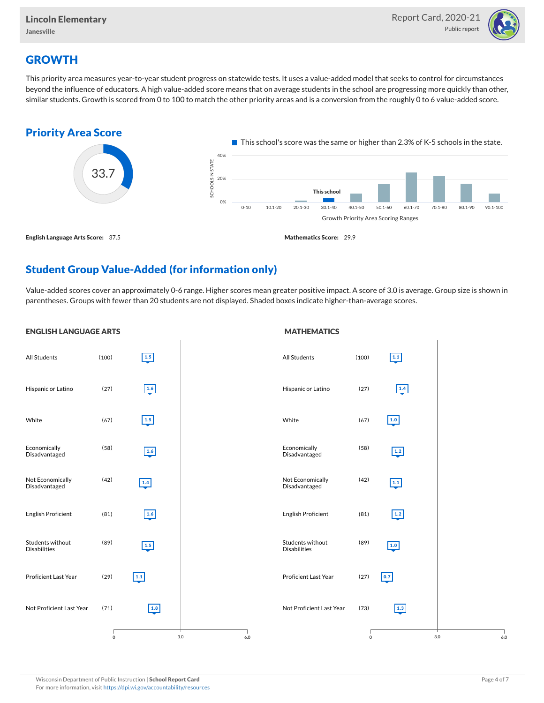

## **GROWTH**

This priority area measures year-to-year student progress on statewide tests. It uses a value-added model that seeks to control for circumstances beyond the influence of educators. A high value-added score means that on average students in the school are progressing more quickly than other, similar students. Growth is scored from 0 to 100 to match the other priority areas and is a conversion from the roughly 0 to 6 value-added score.



## Student Group Value-Added (for information only)

Value-added scores cover an approximately 0-6 range. Higher scores mean greater positive impact. A score of 3.0 is average. Group size is shown in parentheses. Groups with fewer than 20 students are not displayed. Shaded boxes indicate higher-than-average scores.

**MATHEMATICS** 



#### ENGLISH LANGUAGE ARTS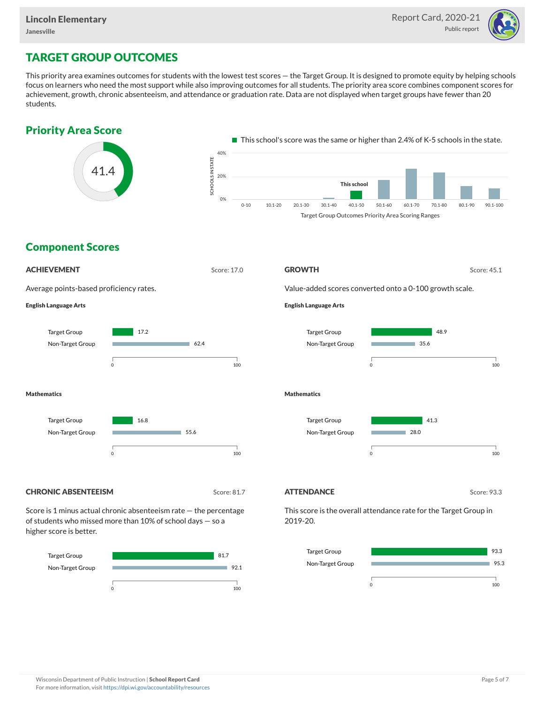

# TARGET GROUP OUTCOMES

This priority area examines outcomes for students with the lowest test scores — the Target Group. It is designed to promote equity by helping schools focus on learners who need the most support while also improving outcomes for all students. The priority area score combines component scores for achievement, growth, chronic absenteeism, and attendance or graduation rate. Data are not displayed when target groups have fewer than 20 students.





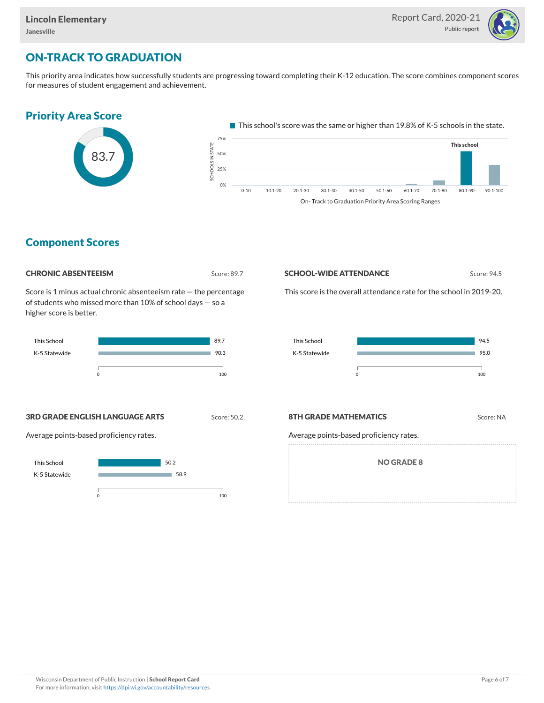

## ON-TRACK TO GRADUATION

This priority area indicates how successfully students are progressing toward completing their K-12 education. The score combines component scores for measures of student engagement and achievement.

## Priority Area Score



This school's score was the same or higher than 19.8% of K-5 schools in the state.



## Component Scores

#### **CHRONIC ABSENTEEISM** Score: 89.7

Score is 1 minus actual chronic absenteeism rate — the percentage of students who missed more than 10% of school days — so a higher score is better.



#### **SCHOOL-WIDE ATTENDANCE** Score: 94.5

This score is the overall attendance rate for the school in 2019-20.



#### **3RD GRADE ENGLISH LANGUAGE ARTS** Score: 50.2

Average points-based proficiency rates.



#### **8TH GRADE MATHEMATICS** Score: NA

Average points-based proficiency rates.

NO GRADE 8